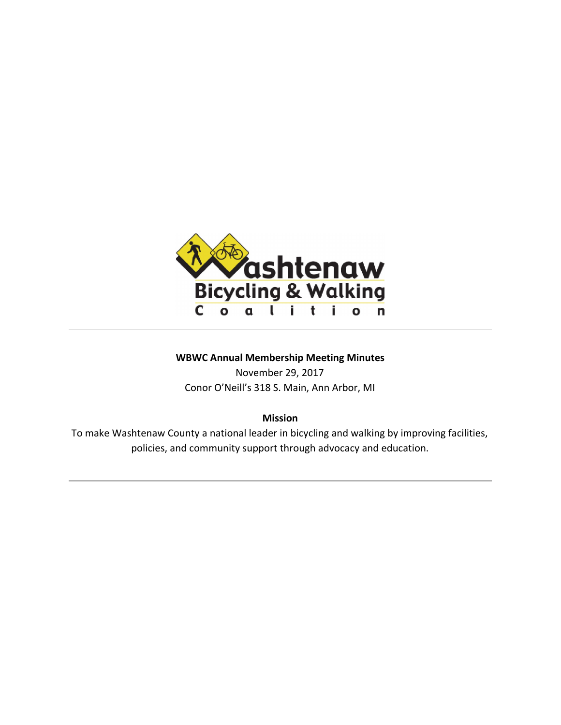

# **WBWC Annual Membership Meeting Minutes**

November 29, 2017 Conor O'Neill's 318 S. Main, Ann Arbor, MI

# **Mission**

To make Washtenaw County a national leader in bicycling and walking by improving facilities, policies, and community support through advocacy and education.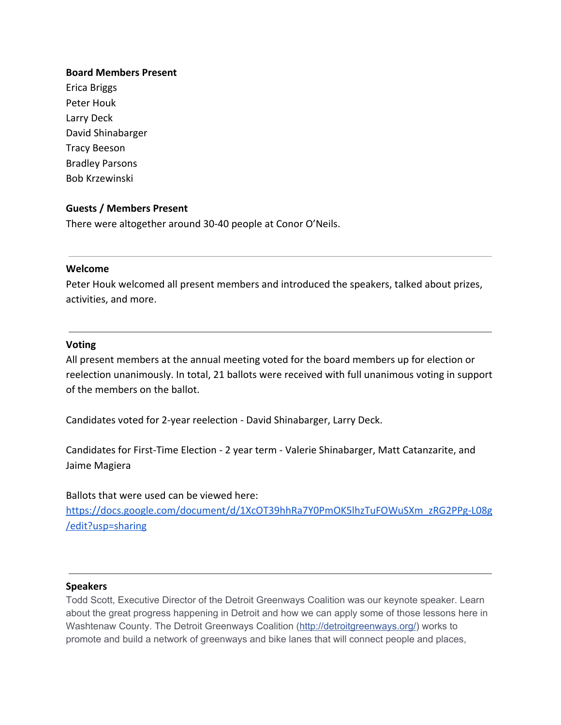## **Board Members Present**

Erica Briggs Peter Houk Larry Deck David Shinabarger Tracy Beeson Bradley Parsons Bob Krzewinski

# **Guests / Members Present**

There were altogether around 30-40 people at Conor O'Neils.

#### **Welcome**

Peter Houk welcomed all present members and introduced the speakers, talked about prizes, activities, and more.

### **Voting**

All present members at the annual meeting voted for the board members up for election or reelection unanimously. In total, 21 ballots were received with full unanimous voting in support of the members on the ballot.

Candidates voted for 2-year reelection - David Shinabarger, Larry Deck.

Candidates for First-Time Election - 2 year term - Valerie Shinabarger, Matt Catanzarite, and Jaime Magiera

### Ballots that were used can be viewed here:

[https://docs.google.com/document/d/1XcOT39hhRa7Y0PmOK5lhzTuFOWuSXm\\_zRG2PPg-L08g](https://docs.google.com/document/d/1XcOT39hhRa7Y0PmOK5lhzTuFOWuSXm_zRG2PPg-L08g/edit?usp=sharing) [/edit?usp=sharing](https://docs.google.com/document/d/1XcOT39hhRa7Y0PmOK5lhzTuFOWuSXm_zRG2PPg-L08g/edit?usp=sharing)

#### **Speakers**

Todd Scott, Executive Director of the Detroit Greenways Coalition was our keynote speaker. Learn about the great progress happening in Detroit and how we can apply some of those lessons here in Washtenaw County. The Detroit Greenways Coalition ([http://detroitgreenways.org/](https://l.facebook.com/l.php?u=http%3A%2F%2Fdetroitgreenways.org%2F&h=ATPKaxwxValGGDU4wCusRninyGqUSOFRgzwRvS44ivyQ1YabnypS1CmWpK4MK2fx9IMrdlOJ3X-FFMIlgUBa_rUjb7imxMDmyJandXuqOyQrP4zjzPaIMD9xNG_8K2anle1Nf5P2U1iZbh669lw3d6JiEHf_rLZGbIrjGc1D--Y_9g)) works to promote and build a network of greenways and bike lanes that will connect people and places,